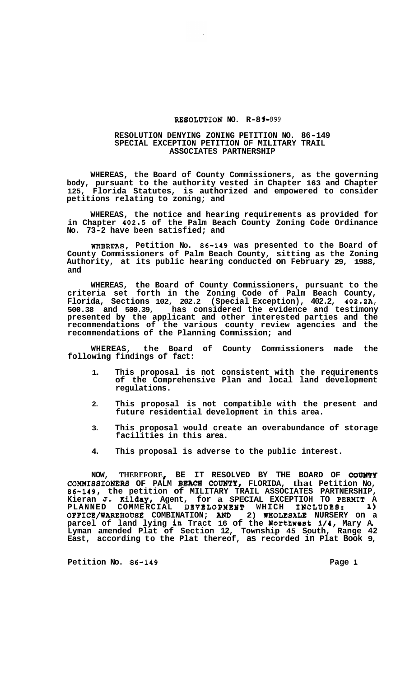## **RESOLUTION NO. R-89-899**

## **RESOLUTION DENYING ZONING PETITION NO. 86-149 SPECIAL EXCEPTION PETITION OF MILITARY TRAIL ASSOCIATES PARTNERSHIP**

**WHEREAS, the Board of County Commissioners, as the governing body, pursuant to the authority vested in Chapter 163 and Chapter 125, Florida Statutes, is authorized and empowered to consider petitions relating to zoning; and** 

**WHEREAS, the notice and hearing requirements as provided for in Chapter 402.5 of the Palm Beach County Zoning Code Ordinance No. 73-2 have been satisfied; and** 

**WHEREAS, Petition NO. 86-149 was presented to the Board of County Commissioners of Palm Beach County, sitting as the Zoning Authority, at its public hearing conducted on February 29, 1988, and** 

**WHEREAS, the Board of County Commissioners, pursuant to the criteria set forth in the Zoning Code of Palm Beach County, Florida, Sections 102, 202.2 (Special Exception), 402.2, 402.2A, 500.38 and 500.39, has considered the evidence and testimony presented by the applicant and other interested parties and the recommendations of the various county review agencies and the recommendations of the Planning Commission; and** 

**WHEREAS, the Board of County Commissioners made the following findings of fact:** 

- **1. This proposal is not consistent with the requirements of the Comprehensive Plan and local land development regulations.**
- **2. This proposal is not compatible with the present and future residential development in this area.**
- **3. This proposal would create an overabundance of storage facilities in this area.**
- **4. This proposal is adverse to the public interest.**

**NOW, THEREFORE BE IT RESOLVED BY THE BOARD OF COUNTY COMMIS8IONBRS OF PALM BEACH COUNTY, FLORIDA, that Petition NO, 86-149, the petition of MILITARY TRAIL ASSOCIATES PARTNERSHIP, Kieran J. Ailday, Agent, for a SPECIAL EXCEPTIOH TO PERHIT A PLANNED COMMERCIAL DEVELOPXEHT WHICH IHCLUDES: 1) OFFICE/WAREHOUSE COMBINATION;** *AIUD* **2) WEOLESALE NURSERY on a parcel of land lying in Tract 16 of the Northwest 1/4, Mary A. Lyman amended Plat of Section 12, Township 45 South, Range 42 East, according to the Plat thereof, as recorded in Plat Book 9,** 

**Petition No. 86-149 Page 1**